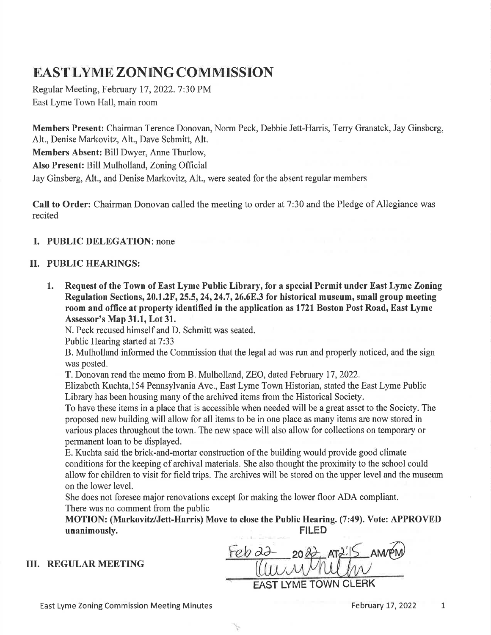# EAST LYME ZONING COMMISSION

Regular Meeting, February 17,2022.7:30 PM East Lyme Town Hall, main room

Members Present: Chairman Terence Donovan, Norm Peck, Debbie Jett-Harris, Terry Granatek, Jay Ginsberg, Alt., Denise Markovitz, Alt., Dave Schmitt, Alt. Members Absent: Bill Dwyer, Anne Thurlow, Also Present: Bill Mulholland, Zoning Official Jay Ginsberg, Alt., and Denise Markovitz, Alt., were seated for the absent regular members

Call to Order: Chairman Donovan called the meeting to order at 7:30 and the Pledge of Allegiance was recited

## I. PUBLIC DELEGATION: none

## II. PUBLIC HEARINGS:

1. Request of the Town of East Lyme Public Library, for a special Permit under East Lyme Zoning Regulation Sections, 20.1.2F, 25.5, 24, 24.7, 26.6E.3 for historical museum, small group meeting room and office at property identified in the application as l72l Boston Post Road, East Lyme Assessor's Map 31.1, Lot 31.

N. Peck recused himself and D. Schmitt was seated.

Public Hearing started at 7:33

B. Mulholland informed the Commission that the legal ad was run and properly noticed, and the sign was posted.

T. Donovan read the memo from B. Mulholland,ZEO, dated February I7,2022.

Elizabeth Kuchta,154 Pennsylvania Ave., East Lyme Town Historian, stated the East Lyme Public Library has been housing many of the archived items from the Historical Society.

To have these items in a place that is accessible when needed will be a great asset to the Society. The proposed new building will allow for all items to be in one place as many items are now stored in various places throughout the town. The new space will also allow for collections on temporary or permanent loan to be displayed.

E. Kuchta said the brick-and-mortar construction ofthe building would provide good climate conditions for the keeping of archival materials. She also thought the proximity to the school could allow for children to visit for field trips. The archives will be stored on the upper level and the museum on the lower level.

She does not foresee major renovations except for making the lower floor ADA compliant. There was no comment from the public

Ŋ.

MOTION: (Markovitz/Jett-Harris) Move to close the Public Hearing. (7:49). Vote: APPROVED<br>FILED<br>FILED unanimously.

#### III. REGULAR MEETING

 $\frac{\partial \overline{\partial}}{\partial x}$  20 EAST LYME TOWN CLERK  $\overline{\phantom{a}}$ 

East Lyme Zoning Commission Meeting Minutes

February 17, 2022 1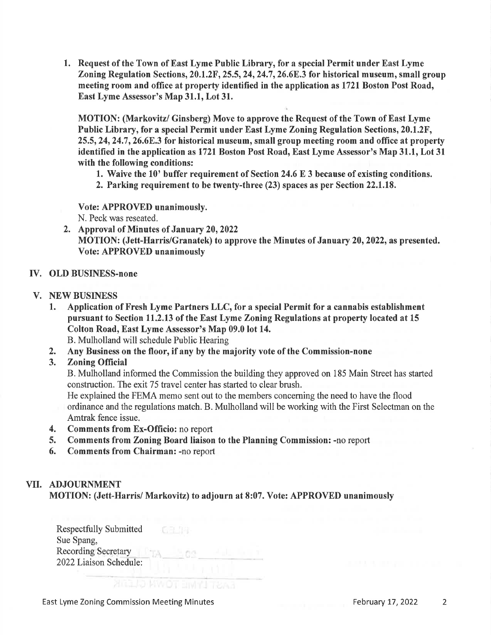1. Request of the Town of East Lyme Public Library, for a special Permit under East Lyme Zoning Regulation Sections,  $20.1.2F$ ,  $25.5$ ,  $24$ ,  $24.7$ ,  $26.6E$ . 3 for historical museum, small group meeting room and office at property identified in the application as l72l Boston Post Road, East Lyme Assessor's Map 31.1, Lot 31.

MOTION: (Markovitz/ Ginsberg) Move to approve the Request of the Town of East Lyme Public Library, for a special Permit under East Lyme Zoning Regulation Sections, 20.1.2F,  $25.5, 24, 24.7, 26.6E.3$  for historical museum, small group meeting room and office at property identified in the application as l72l Boston Post Road, East Lyme Assessor's Map 31.1, Lot 31 with the following conditions:

- L. Waive the 10' buffer requirement of Section 24.6 E 3 because of existing conditions.
- 2. Parking requirement to be twenty-three (23) spaces as per Section 22,1.18.

Vote: APPROVED unanimously. N. Peck was reseated.

2. Approval of Minutes of January 20, 2022 MOTION: (Jett-Harris/Granatek) to approve the Minutes of January 20, 2022, as presented. Vote: APPROVED unanimously

### W. OLD BUSINESS-none

#### V. NEW BUSINESS

- 1. Application of Fresh Lyme Partners LLC, for a special Permit for a cannabis establishment pursuant to Section ll.2.l3 of the East Lyme Zoning Regulations at property located at <sup>15</sup> Colton Road, East Lyme Assessor's Map 09.0 lot 14.
	- B. Mulholland will schedule Public Hearing
- 2. Any Business on the floor, if any by the majority vote of the Commission-none
- 3. Zoning Official

B. Mulholland informed the Commission the building they approved on 185 Main Street has started construction. The exit 75 travel center has started to clear brush.

He explained the FEMA memo sent out to the members concerning the need to have the flood ordinance and the regulations match. B. Mulholland will be working with the First Selectman on the Amtrak fence issue.

- 4. Comments from Ex-Officio: no report
- 5. Comments from Zoning Board liaison to the Planning Commission: -no report
- 6. Comments from Chairman: -no report

## VII. ADJOURNMENT

MOTION: (Jett-Harrisi Markovitz) to adjourn at 8:07. Vote: APPROVED unanimously

Respectfully Submitted 石土川 Sue Spang, Recording Secretary. 2022Liaison Schedule:

**ANILO MWOT EIVIN'I TEAR** 

East Lyme Zoning Commission Meeting Minutes February 17, 2022 2